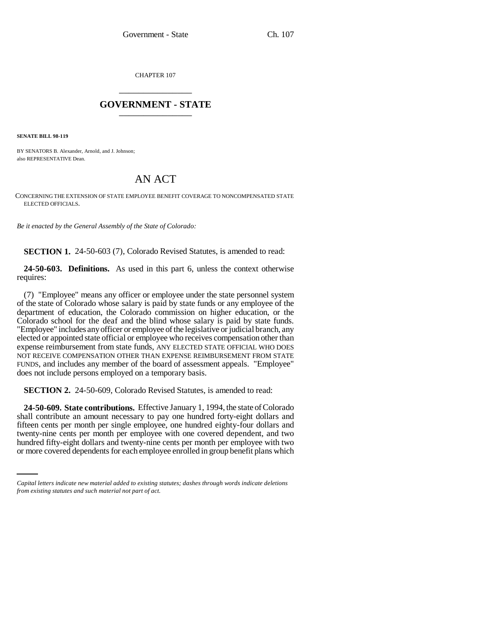CHAPTER 107 \_\_\_\_\_\_\_\_\_\_\_\_\_\_\_

## **GOVERNMENT - STATE** \_\_\_\_\_\_\_\_\_\_\_\_\_\_\_

**SENATE BILL 98-119**

BY SENATORS B. Alexander, Arnold, and J. Johnson; also REPRESENTATIVE Dean.

## AN ACT

CONCERNING THE EXTENSION OF STATE EMPLOYEE BENEFIT COVERAGE TO NONCOMPENSATED STATE ELECTED OFFICIALS.

*Be it enacted by the General Assembly of the State of Colorado:*

**SECTION 1.** 24-50-603 (7), Colorado Revised Statutes, is amended to read:

**24-50-603. Definitions.** As used in this part 6, unless the context otherwise requires:

(7) "Employee" means any officer or employee under the state personnel system of the state of Colorado whose salary is paid by state funds or any employee of the department of education, the Colorado commission on higher education, or the Colorado school for the deaf and the blind whose salary is paid by state funds. "Employee" includes any officer or employee of the legislative or judicial branch, any elected or appointed state official or employee who receives compensation other than expense reimbursement from state funds, ANY ELECTED STATE OFFICIAL WHO DOES NOT RECEIVE COMPENSATION OTHER THAN EXPENSE REIMBURSEMENT FROM STATE FUNDS, and includes any member of the board of assessment appeals. "Employee" does not include persons employed on a temporary basis.

**SECTION 2.** 24-50-609, Colorado Revised Statutes, is amended to read:

twenty-nine cents per month per employee with one covered dependent, and two **24-50-609. State contributions.** Effective January 1, 1994, the state of Colorado shall contribute an amount necessary to pay one hundred forty-eight dollars and fifteen cents per month per single employee, one hundred eighty-four dollars and hundred fifty-eight dollars and twenty-nine cents per month per employee with two or more covered dependents for each employee enrolled in group benefit plans which

*Capital letters indicate new material added to existing statutes; dashes through words indicate deletions from existing statutes and such material not part of act.*